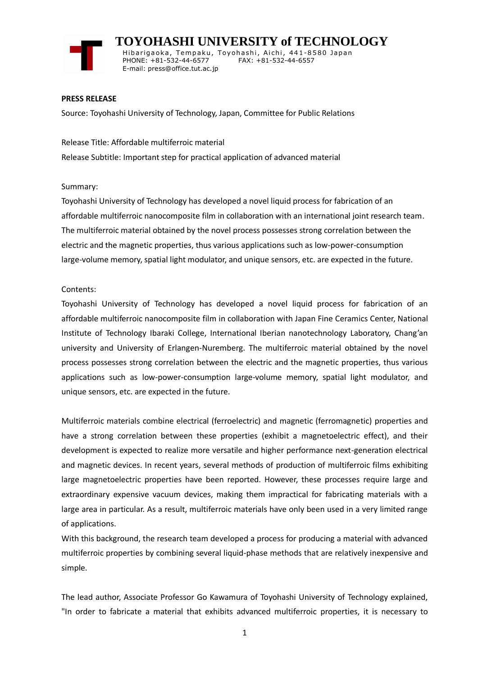

 **TOYOHASHI UNIVERSITY of TECHNOLOGY** Hibarigaoka, Tempaku, Toyohashi, Aichi, 441-8580 Japan PHONE: +81-532-44-6577 FAX: +81-532-44-6557 E-mail: press@office.tut.ac.jp

### **PRESS RELEASE**

Source: Toyohashi University of Technology, Japan, Committee for Public Relations

Release Title: Affordable multiferroic material Release Subtitle: Important step for practical application of advanced material

#### Summary:

Toyohashi University of Technology has developed a novel liquid process for fabrication of an affordable multiferroic nanocomposite film in collaboration with an international joint research team. The multiferroic material obtained by the novel process possesses strong correlation between the electric and the magnetic properties, thus various applications such as low-power-consumption large-volume memory, spatial light modulator, and unique sensors, etc. are expected in the future.

## Contents:

Toyohashi University of Technology has developed a novel liquid process for fabrication of an affordable multiferroic nanocomposite film in collaboration with Japan Fine Ceramics Center, National Institute of Technology Ibaraki College, International Iberian nanotechnology Laboratory, Chang'an university and University of Erlangen-Nuremberg. The multiferroic material obtained by the novel process possesses strong correlation between the electric and the magnetic properties, thus various applications such as low-power-consumption large-volume memory, spatial light modulator, and unique sensors, etc. are expected in the future.

Multiferroic materials combine electrical (ferroelectric) and magnetic (ferromagnetic) properties and have a strong correlation between these properties (exhibit a magnetoelectric effect), and their development is expected to realize more versatile and higher performance next-generation electrical and magnetic devices. In recent years, several methods of production of multiferroic films exhibiting large magnetoelectric properties have been reported. However, these processes require large and extraordinary expensive vacuum devices, making them impractical for fabricating materials with a large area in particular. As a result, multiferroic materials have only been used in a very limited range of applications.

With this background, the research team developed a process for producing a material with advanced multiferroic properties by combining several liquid-phase methods that are relatively inexpensive and simple.

The lead author, Associate Professor Go Kawamura of Toyohashi University of Technology explained, "In order to fabricate a material that exhibits advanced multiferroic properties, it is necessary to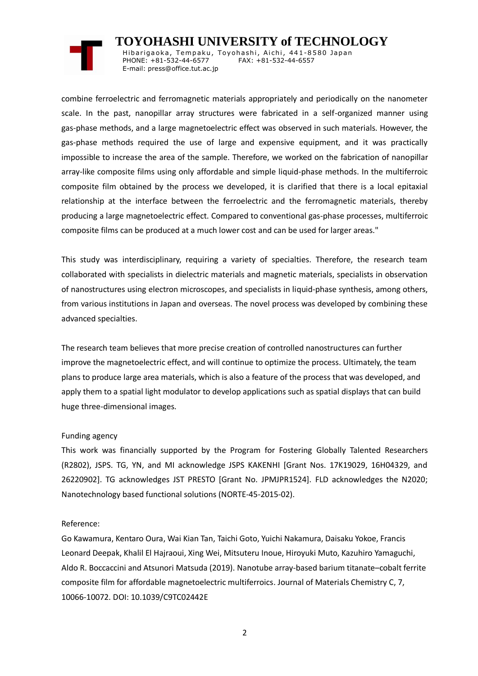# **TOYOHASHI UNIVERSITY of TECHNOLOGY**

Hibarigaoka, Tempaku, Toyohashi, Aichi, 441-8580 Japan PHONE: +81-532-44-6577 FAX: +81-532-44-6557 E-mail: press@office.tut.ac.jp

combine ferroelectric and ferromagnetic materials appropriately and periodically on the nanometer scale. In the past, nanopillar array structures were fabricated in a self-organized manner using gas-phase methods, and a large magnetoelectric effect was observed in such materials. However, the gas-phase methods required the use of large and expensive equipment, and it was practically impossible to increase the area of the sample. Therefore, we worked on the fabrication of nanopillar array-like composite films using only affordable and simple liquid-phase methods. In the multiferroic composite film obtained by the process we developed, it is clarified that there is a local epitaxial relationship at the interface between the ferroelectric and the ferromagnetic materials, thereby producing a large magnetoelectric effect. Compared to conventional gas-phase processes, multiferroic composite films can be produced at a much lower cost and can be used for larger areas."

This study was interdisciplinary, requiring a variety of specialties. Therefore, the research team collaborated with specialists in dielectric materials and magnetic materials, specialists in observation of nanostructures using electron microscopes, and specialists in liquid-phase synthesis, among others, from various institutions in Japan and overseas. The novel process was developed by combining these advanced specialties.

The research team believes that more precise creation of controlled nanostructures can further improve the magnetoelectric effect, and will continue to optimize the process. Ultimately, the team plans to produce large area materials, which is also a feature of the process that was developed, and apply them to a spatial light modulator to develop applications such as spatial displays that can build huge three-dimensional images.

## Funding agency

This work was financially supported by the Program for Fostering Globally Talented Researchers (R2802), JSPS. TG, YN, and MI acknowledge JSPS KAKENHI [Grant Nos. 17K19029, 16H04329, and 26220902]. TG acknowledges JST PRESTO [Grant No. JPMJPR1524]. FLD acknowledges the N2020; Nanotechnology based functional solutions (NORTE-45-2015-02).

## Reference:

Go Kawamura, Kentaro Oura, Wai Kian Tan, Taichi Goto, Yuichi Nakamura, Daisaku Yokoe, Francis Leonard Deepak, Khalil El Hajraoui, Xing Wei, Mitsuteru Inoue, Hiroyuki Muto, Kazuhiro Yamaguchi, Aldo R. Boccaccini and Atsunori Matsuda (2019). Nanotube array-based barium titanate–cobalt ferrite composite film for affordable magnetoelectric multiferroics. Journal of Materials Chemistry C, 7, 10066-10072. DOI: 10.1039/C9TC02442E